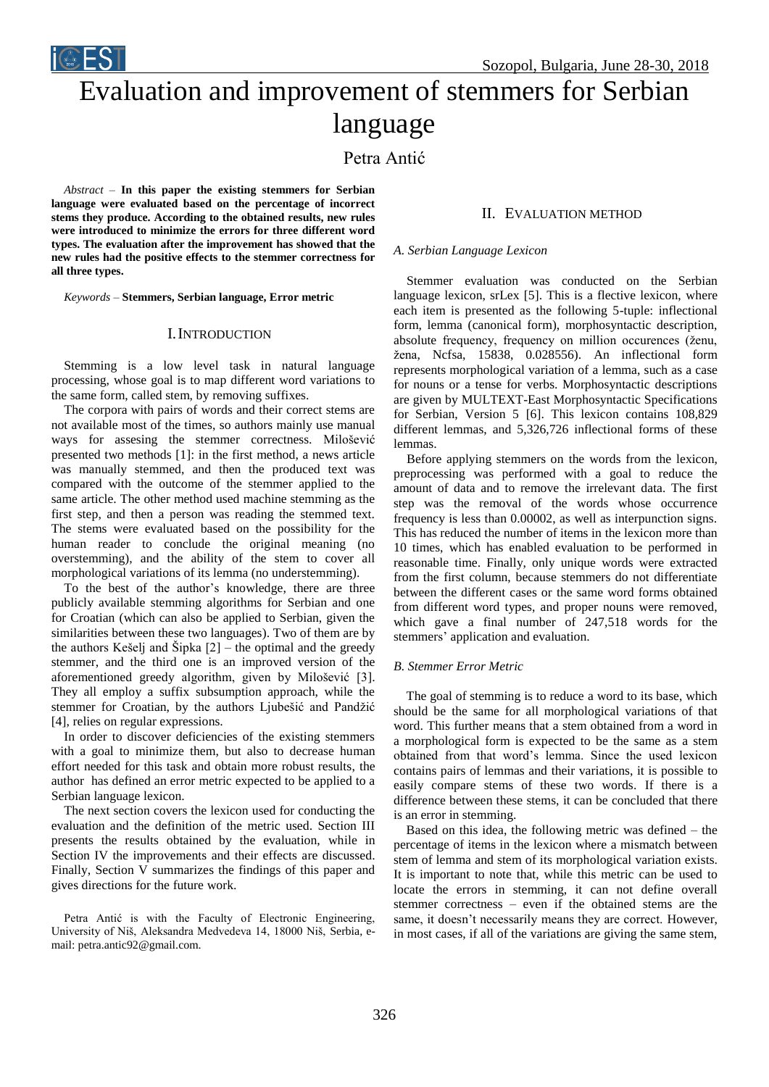Evaluation and improvement of stemmers for Serbian language

Petra Antić

*Abstract –* **In this paper the existing stemmers for Serbian language were evaluated based on the percentage of incorrect stems they produce. According to the obtained results, new rules were introduced to minimize the errors for three different word types. The evaluation after the improvement has showed that the new rules had the positive effects to the stemmer correctness for all three types.**

*Keywords –* **Stemmers, Serbian language, Error metric**

## I.INTRODUCTION

Stemming is a low level task in natural language processing, whose goal is to map different word variations to the same form, called stem, by removing suffixes.

The corpora with pairs of words and their correct stems are not available most of the times, so authors mainly use manual ways for assesing the stemmer correctness. Milošević presented two methods [1]: in the first method, a news article was manually stemmed, and then the produced text was compared with the outcome of the stemmer applied to the same article. The other method used machine stemming as the first step, and then a person was reading the stemmed text. The stems were evaluated based on the possibility for the human reader to conclude the original meaning (no overstemming), and the ability of the stem to cover all morphological variations of its lemma (no understemming).

To the best of the author's knowledge, there are three publicly available stemming algorithms for Serbian and one for Croatian (which can also be applied to Serbian, given the similarities between these two languages). Two of them are by the authors Kešelj and Šipka [2] – the optimal and the greedy stemmer, and the third one is an improved version of the aforementioned greedy algorithm, given by Milošević [3]. They all employ a suffix subsumption approach, while the stemmer for Croatian, by the authors Ljubešić and Pandžić [4], relies on regular expressions.

In order to discover deficiencies of the existing stemmers with a goal to minimize them, but also to decrease human effort needed for this task and obtain more robust results, the author has defined an error metric expected to be applied to a Serbian language lexicon.

The next section covers the lexicon used for conducting the evaluation and the definition of the metric used. Section III presents the results obtained by the evaluation, while in Section IV the improvements and their effects are discussed. Finally, Section V summarizes the findings of this paper and gives directions for the future work.

Petra Antić is with the Faculty of Electronic Engineering, University of Niš, Aleksandra Medvedeva 14, 18000 Niš, Serbia, email: petra.antic92@gmail.com.

# II. EVALUATION METHOD

#### *A. Serbian Language Lexicon*

Stemmer evaluation was conducted on the Serbian language lexicon, srLex [5]. This is a flective lexicon, where each item is presented as the following 5-tuple: inflectional form, lemma (canonical form), morphosyntactic description, absolute frequency, frequency on million occurences (ženu, žena, Ncfsa, 15838, 0.028556). An inflectional form represents morphological variation of a lemma, such as a case for nouns or a tense for verbs. Morphosyntactic descriptions are given by MULTEXT-East Morphosyntactic Specifications for Serbian, Version 5 [6]. This lexicon contains 108,829 different lemmas, and 5,326,726 inflectional forms of these lemmas.

Before applying stemmers on the words from the lexicon, preprocessing was performed with a goal to reduce the amount of data and to remove the irrelevant data. The first step was the removal of the words whose occurrence frequency is less than 0.00002, as well as interpunction signs. This has reduced the number of items in the lexicon more than 10 times, which has enabled evaluation to be performed in reasonable time. Finally, only unique words were extracted from the first column, because stemmers do not differentiate between the different cases or the same word forms obtained from different word types, and proper nouns were removed, which gave a final number of 247,518 words for the stemmers' application and evaluation.

#### *B. Stemmer Error Metric*

The goal of stemming is to reduce a word to its base, which should be the same for all morphological variations of that word. This further means that a stem obtained from a word in a morphological form is expected to be the same as a stem obtained from that word's lemma. Since the used lexicon contains pairs of lemmas and their variations, it is possible to easily compare stems of these two words. If there is a difference between these stems, it can be concluded that there is an error in stemming.

Based on this idea, the following metric was defined – the percentage of items in the lexicon where a mismatch between stem of lemma and stem of its morphological variation exists. It is important to note that, while this metric can be used to locate the errors in stemming, it can not define overall stemmer correctness – even if the obtained stems are the same, it doesn't necessarily means they are correct. However, in most cases, if all of the variations are giving the same stem,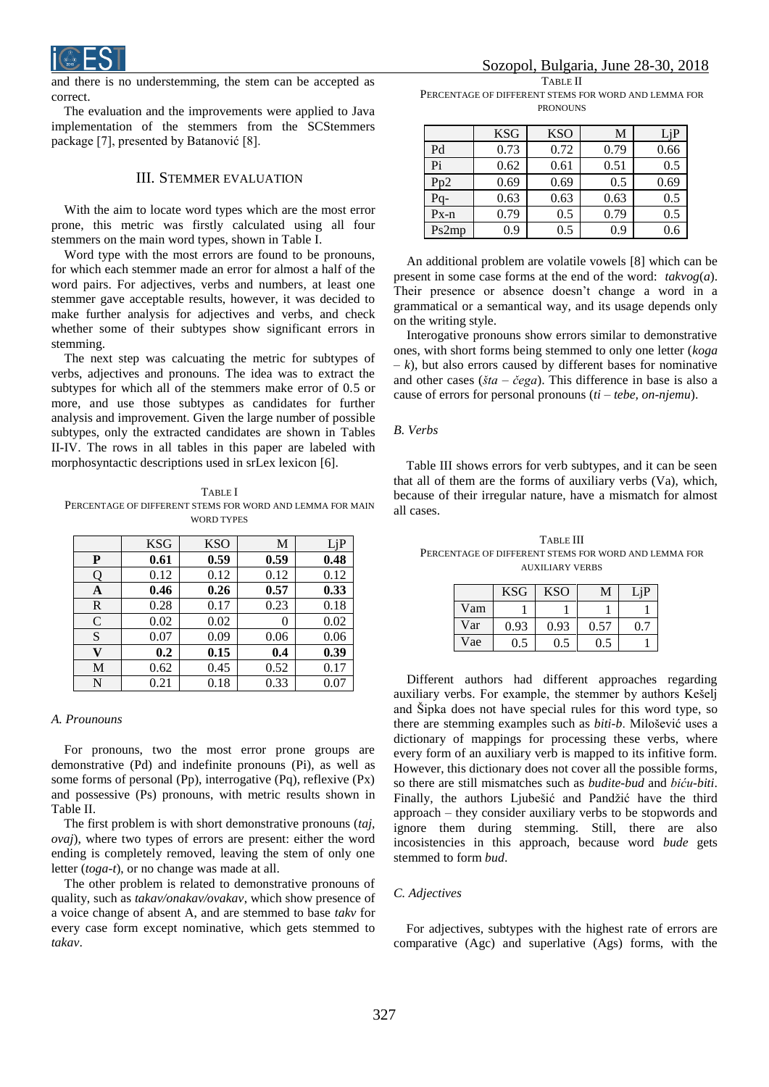

and there is no understemming, the stem can be accepted as correct.

The evaluation and the improvements were applied to Java implementation of the stemmers from the SCStemmers package [7], presented by Batanović [8].

## III. STEMMER EVALUATION

 With the aim to locate word types which are the most error prone, this metric was firstly calculated using all four stemmers on the main word types, shown in Table I.

Word type with the most errors are found to be pronouns, for which each stemmer made an error for almost a half of the word pairs. For adjectives, verbs and numbers, at least one stemmer gave acceptable results, however, it was decided to make further analysis for adjectives and verbs, and check whether some of their subtypes show significant errors in stemming.

 The next step was calcuating the metric for subtypes of verbs, adjectives and pronouns. The idea was to extract the subtypes for which all of the stemmers make error of 0.5 or more, and use those subtypes as candidates for further analysis and improvement. Given the large number of possible subtypes, only the extracted candidates are shown in Tables II-IV. The rows in all tables in this paper are labeled with morphosyntactic descriptions used in srLex lexicon [6].

TABLE I PERCENTAGE OF DIFFERENT STEMS FOR WORD AND LEMMA FOR MAIN WORD TYPES

|               | <b>KSG</b> | <b>KSO</b> | M    | LjP  |
|---------------|------------|------------|------|------|
| P             | 0.61       | 0.59       | 0.59 | 0.48 |
| Q             | 0.12       | 0.12       | 0.12 | 0.12 |
| A             | 0.46       | 0.26       | 0.57 | 0.33 |
| $\mathbb{R}$  | 0.28       | 0.17       | 0.23 | 0.18 |
| $\mathcal{C}$ | 0.02       | 0.02       | 0    | 0.02 |
| S             | 0.07       | 0.09       | 0.06 | 0.06 |
| V             | 0.2        | 0.15       | 0.4  | 0.39 |
| M             | 0.62       | 0.45       | 0.52 | 0.17 |
| N             | 0.21       | 0.18       | 0.33 | 0.07 |

# *A. Prounouns*

For pronouns, two the most error prone groups are demonstrative (Pd) and indefinite pronouns (Pi), as well as some forms of personal (Pp), interrogative (Pq), reflexive (Px) and possessive (Ps) pronouns, with metric results shown in Table II.

The first problem is with short demonstrative pronouns (*taj, ovaj*), where two types of errors are present: either the word ending is completely removed, leaving the stem of only one letter (*toga-t*), or no change was made at all.

The other problem is related to demonstrative pronouns of quality, such as *takav/onakav/ovakav*, which show presence of a voice change of absent A, and are stemmed to base *takv* for every case form except nominative, which gets stemmed to *takav*.

TABLE II PERCENTAGE OF DIFFERENT STEMS FOR WORD AND LEMMA FOR

| <b>PRONOUNS</b> |
|-----------------|
|                 |

|          | <b>KSG</b> | <b>KSO</b> | М    | LjP  |
|----------|------------|------------|------|------|
| Pd       | 0.73       | 0.72       | 0.79 | 0.66 |
| Pi       | 0.62       | 0.61       | 0.51 | 0.5  |
| Pp2      | 0.69       | 0.69       | 0.5  | 0.69 |
| Pq-      | 0.63       | 0.63       | 0.63 | 0.5  |
| $Px - n$ | 0.79       | 0.5        | 0.79 | 0.5  |
| Ps2mp    | 0.9        | 0.5        | 0.9  | 0.6  |

An additional problem are volatile vowels [8] which can be present in some case forms at the end of the word: *takvog*(*a*). Their presence or absence doesn't change a word in a grammatical or a semantical way, and its usage depends only on the writing style.

Interogative pronouns show errors similar to demonstrative ones, with short forms being stemmed to only one letter (*koga – k*), but also errors caused by different bases for nominative and other cases (*šta* – *čega*). This difference in base is also a cause of errors for personal pronouns (*ti – tebe, on-njemu*).

#### *B. Verbs*

Table III shows errors for verb subtypes, and it can be seen that all of them are the forms of auxiliary verbs (Va), which, because of their irregular nature, have a mismatch for almost all cases.

TABLE III PERCENTAGE OF DIFFERENT STEMS FOR WORD AND LEMMA FOR AUXILIARY VERBS

|     | <b>KSG</b> | KSO  | M    | $\mathbf{H}$ |
|-----|------------|------|------|--------------|
| Vam |            |      |      |              |
| Var | 0.93       | 0.93 | 0.57 |              |
| Vae | 0.5        | 0.5  | 0.5  |              |

Different authors had different approaches regarding auxiliary verbs. For example, the stemmer by authors Kešelj and Šipka does not have special rules for this word type, so there are stemming examples such as *biti-b*. Milošević uses a dictionary of mappings for processing these verbs, where every form of an auxiliary verb is mapped to its infitive form. However, this dictionary does not cover all the possible forms, so there are still mismatches such as *budite-bud* and *biću-biti*. Finally, the authors Ljubešić and Pandžić have the third approach – they consider auxiliary verbs to be stopwords and ignore them during stemming. Still, there are also incosistencies in this approach, because word *bude* gets stemmed to form *bud*.

## *C. Adjectives*

For adjectives, subtypes with the highest rate of errors are comparative (Agc) and superlative (Ags) forms, with the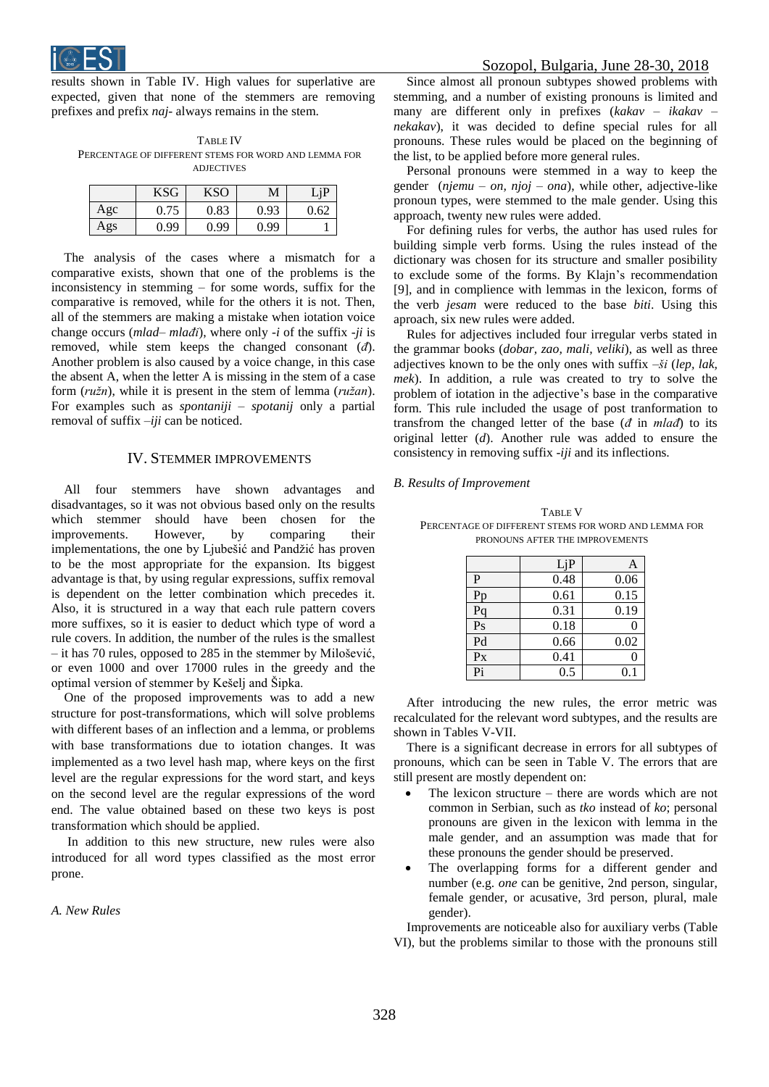

results shown in Table IV. High values for superlative are expected, given that none of the stemmers are removing prefixes and prefix *naj*- always remains in the stem.

TABLE IV PERCENTAGE OF DIFFERENT STEMS FOR WORD AND LEMMA FOR ADJECTIVES

|     | <b>KSG</b> | KSO  | М    |      |
|-----|------------|------|------|------|
| Agc | 0.75       | 0.83 | 0.93 | 0.62 |
| Ags | 0.99       | 0.99 | 0.99 |      |

The analysis of the cases where a mismatch for a comparative exists, shown that one of the problems is the inconsistency in stemming – for some words, suffix for the comparative is removed, while for the others it is not. Then, all of the stemmers are making a mistake when iotation voice change occurs (*mlad*– *mlađi*), where only *-i* of the suffix -*ji* is removed, while stem keeps the changed consonant (*đ*). Another problem is also caused by a voice change, in this case the absent A, when the letter A is missing in the stem of a case form (*ružn*), while it is present in the stem of lemma (*ružan*). For examples such as *spontaniji – spotanij* only a partial removal of suffix –*iji* can be noticed.

# IV. STEMMER IMPROVEMENTS

All four stemmers have shown advantages and disadvantages, so it was not obvious based only on the results which stemmer should have been chosen for the improvements. However, by comparing their implementations, the one by Ljubešić and Pandžić has proven to be the most appropriate for the expansion. Its biggest advantage is that, by using regular expressions, suffix removal is dependent on the letter combination which precedes it. Also, it is structured in a way that each rule pattern covers more suffixes, so it is easier to deduct which type of word a rule covers. In addition, the number of the rules is the smallest – it has 70 rules, opposed to 285 in the stemmer by Milošević, or even 1000 and over 17000 rules in the greedy and the optimal version of stemmer by Kešelj and Šipka.

One of the proposed improvements was to add a new structure for post-transformations, which will solve problems with different bases of an inflection and a lemma, or problems with base transformations due to iotation changes. It was implemented as a two level hash map, where keys on the first level are the regular expressions for the word start, and keys on the second level are the regular expressions of the word end. The value obtained based on these two keys is post transformation which should be applied.

In addition to this new structure, new rules were also introduced for all word types classified as the most error prone.

*A. New Rules*

Since almost all pronoun subtypes showed problems with stemming, and a number of existing pronouns is limited and many are different only in prefixes (*kakav – ikakav – nekakav*), it was decided to define special rules for all pronouns. These rules would be placed on the beginning of the list, to be applied before more general rules.

Personal pronouns were stemmed in a way to keep the gender (*njemu – on, njoj – ona*), while other, adjective-like pronoun types, were stemmed to the male gender. Using this approach, twenty new rules were added.

For defining rules for verbs, the author has used rules for building simple verb forms. Using the rules instead of the dictionary was chosen for its structure and smaller posibility to exclude some of the forms. By Klajn's recommendation [9], and in complience with lemmas in the lexicon, forms of the verb *jesam* were reduced to the base *biti*. Using this aproach, six new rules were added.

Rules for adjectives included four irregular verbs stated in the grammar books (*dobar, zao, mali, veliki*), as well as three adjectives known to be the only ones with suffix –*ši* (*lep, lak, mek*). In addition, a rule was created to try to solve the problem of iotation in the adjective's base in the comparative form. This rule included the usage of post tranformation to transfrom the changed letter of the base (*đ* in *mlađ*) to its original letter (*d*). Another rule was added to ensure the consistency in removing suffix -*iji* and its inflections.

#### *B. Results of Improvement*

TABLE V PERCENTAGE OF DIFFERENT STEMS FOR WORD AND LEMMA FOR PRONOUNS AFTER THE IMPROVEMENTS

|                 | LjP  | А                |
|-----------------|------|------------------|
| P               | 0.48 | 0.06             |
| Pp              | 0.61 | 0.15             |
| Pq              | 0.31 | 0.19             |
| $\overline{Ps}$ | 0.18 | $\left( \right)$ |
| Pd              | 0.66 | 0.02             |
| Px              | 0.41 | $\left( \right)$ |
| Pi              | 0.5  | 0.1              |

After introducing the new rules, the error metric was recalculated for the relevant word subtypes, and the results are shown in Tables V-VII.

There is a significant decrease in errors for all subtypes of pronouns, which can be seen in Table V. The errors that are still present are mostly dependent on:

- The lexicon structure there are words which are not common in Serbian, such as *tko* instead of *ko*; personal pronouns are given in the lexicon with lemma in the male gender, and an assumption was made that for these pronouns the gender should be preserved.
- The overlapping forms for a different gender and number (e.g. *one* can be genitive, 2nd person, singular, female gender, or acusative, 3rd person, plural, male gender).

Improvements are noticeable also for auxiliary verbs (Table VI), but the problems similar to those with the pronouns still